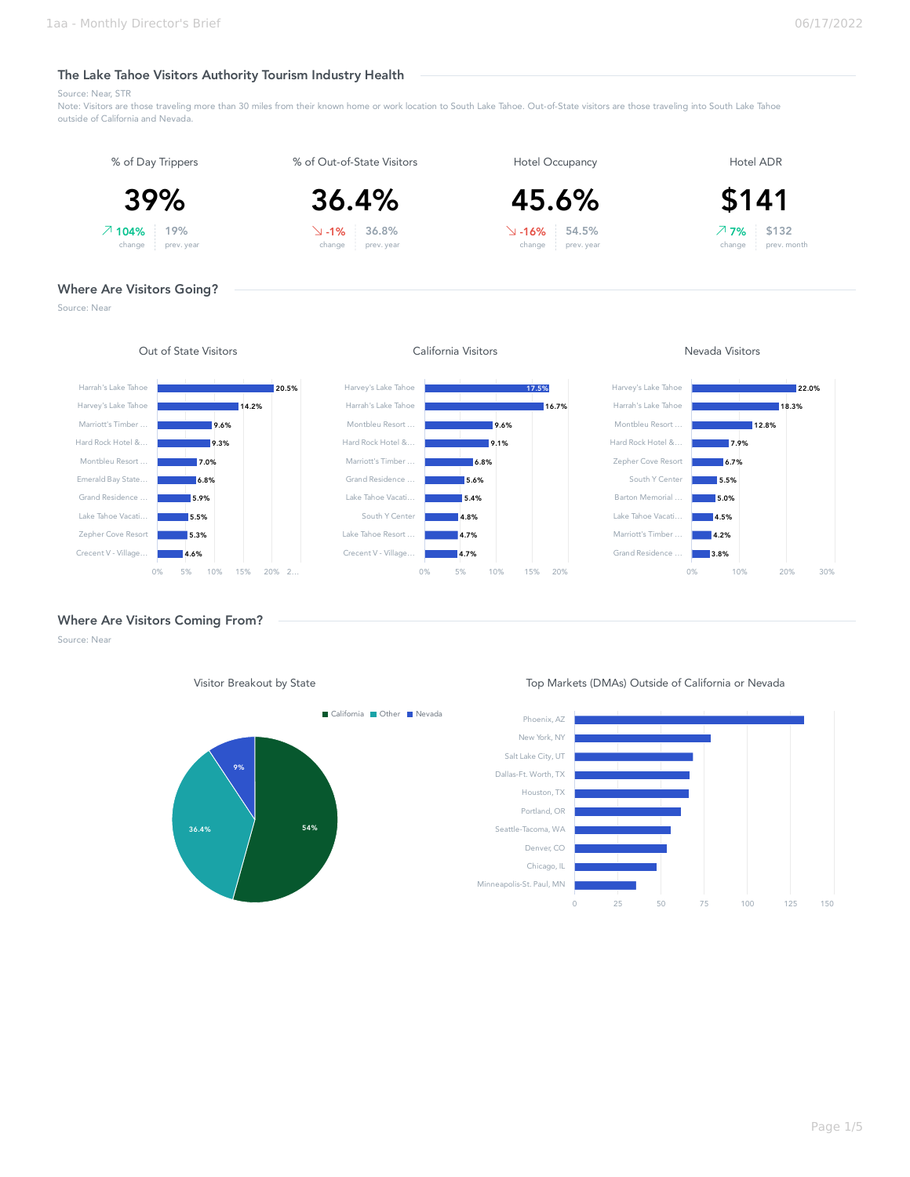# The Lake Tahoe Visitors Authority Tourism Industry Health

Source: Near, STR

Note: Visitors are those traveling more than 30 miles from their known home or work location to South Lake Tahoe. Out-of-State visitors are those traveling into South Lake Tahoe outside of California and Nevada.



Source: Near



Where Are Visitors Coming From?

Source: Near



Visitor Breakout by State Top Markets (DMAs) Outside of California or Nevada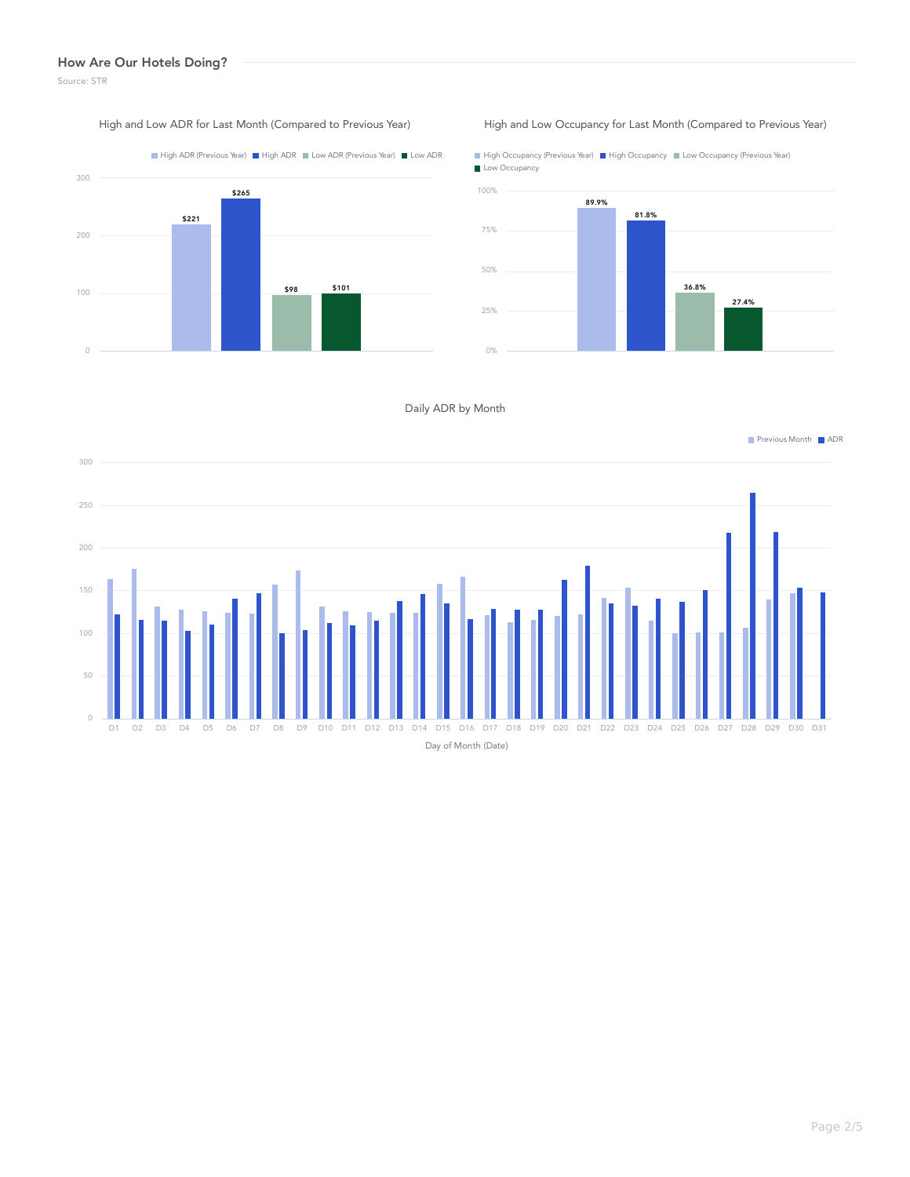### How Are Our Hotels Doing?

Source: STR



#### High and Low ADR for Last Month (Compared to Previous Year) High and Low Occupancy for Last Month (Compared to Previous Year)

High Occupancy (Previous Year) High Occupancy Low Occupancy (Previous Year) Low Occupancy 89.9% 100%



## Daily ADR by Month

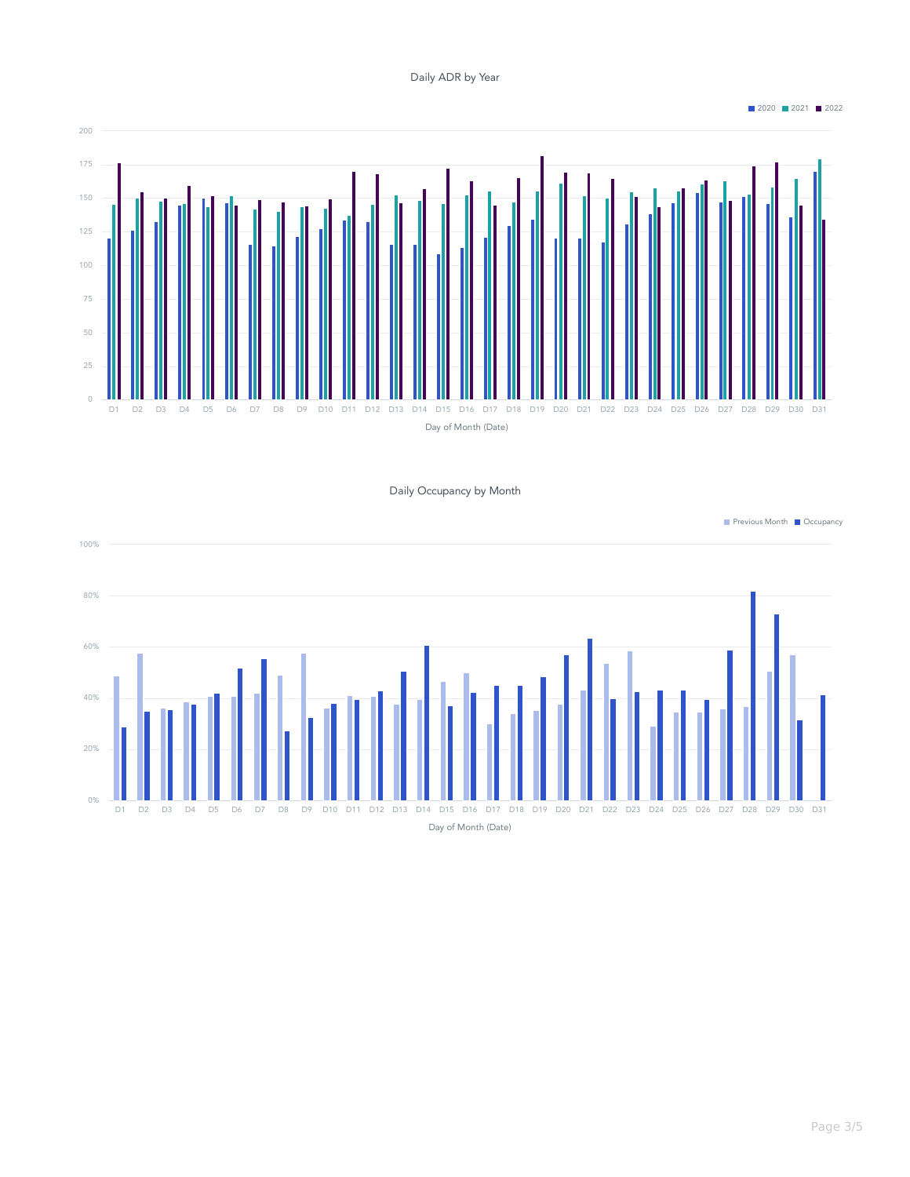Daily ADR by Year

2020 2021 2022



Daily Occupancy by Month

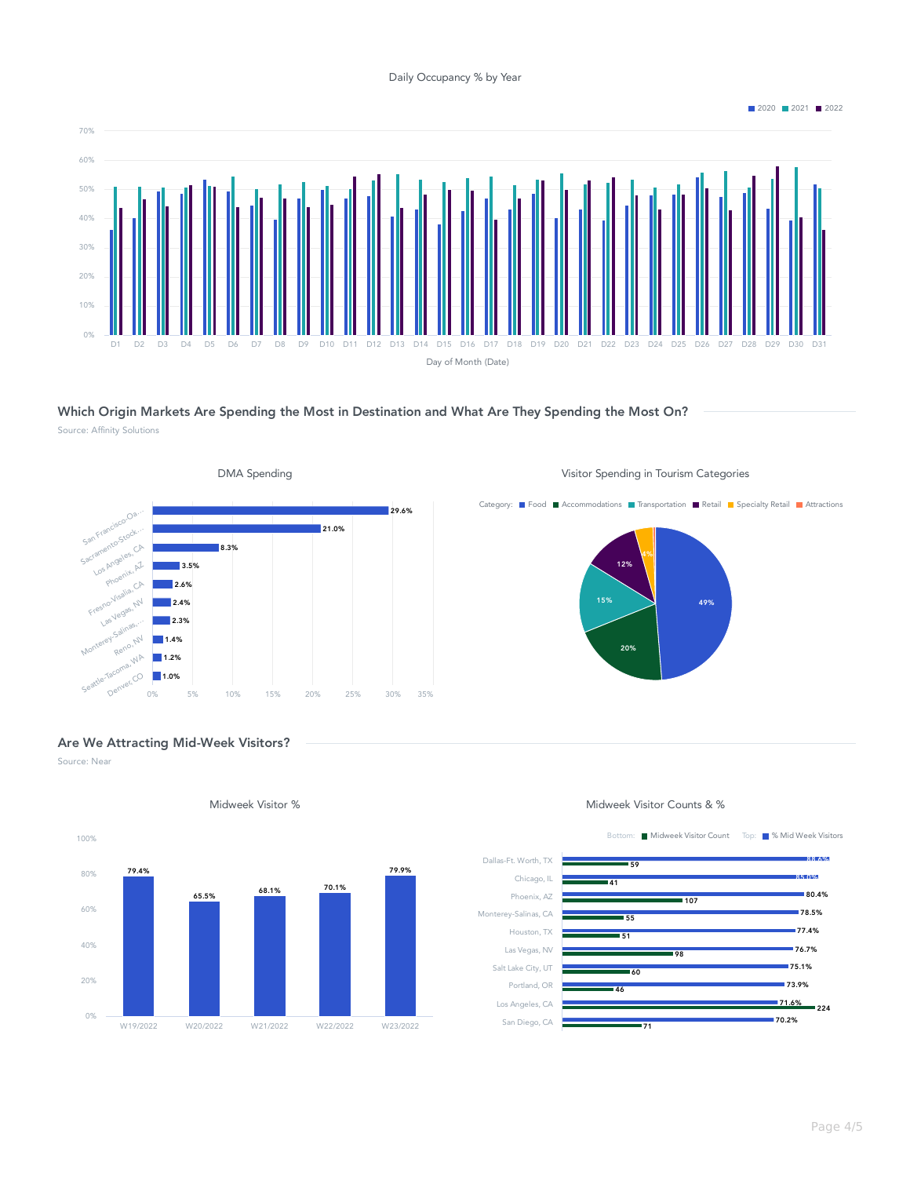Daily Occupancy % by Year

Day of Month (Date) D1 D2 D3 D4 D5 D6 D7 D8 D9 D10 D11 D12 D13 D14 D15 D16 D17 D18 D19 D20 D21 D22 D23 D24 D25 D26 D27 D28 D29 D30 D31 0% 10% 20% 30% 40% 50% 60% 70%

Which Origin Markets Are Spending the Most in Destination and What Are They Spending the Most On? Source: Affinity Solutions



■ 2020 ■ 2021 ■ 2022



# Are We Attracting Mid-Week Visitors?

Source: Near



Midweek Visitor % Midweek Visitor Counts & %